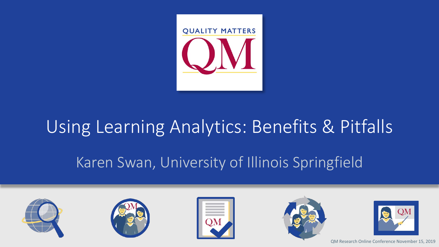

# Using Learning Analytics: Benefits & Pitfalls Karen Swan, University of Illinois Springfield









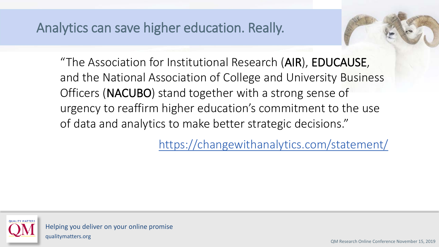Analytics can save higher education. Really.

"The Association for Institutional Research (AIR), EDUCAUSE, and the National Association of College and University Business Officers (NACUBO) stand together with a strong sense of urgency to reaffirm higher education's commitment to the use of data and analytics to make better strategic decisions."

<https://changewithanalytics.com/statement/>

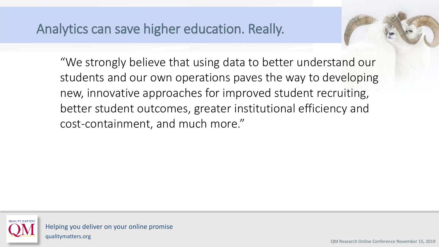# Analytics can save higher education. Really.

"We strongly believe that using data to better understand our students and our own operations paves the way to developing new, innovative approaches for improved student recruiting, better student outcomes, greater institutional efficiency and cost-containment, and much more."

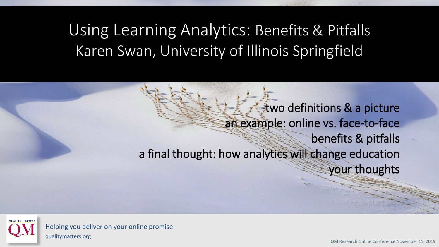# Using Learning Analytics: Benefits & Pitfalls Karen Swan, University of Illinois Springfield

two definitions & a picture an example: online vs. face-to-face benefits & pitfalls a final thought: how analytics will change education your thoughts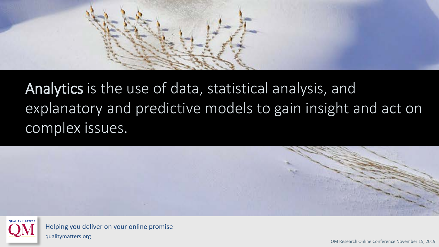

# Analytics is the use of data, statistical analysis, and explanatory and predictive models to gain insight and act on complex issues.





Helping you deliver on your online promise qualitymatters.org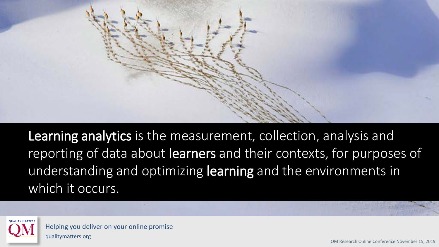

Learning analytics is the measurement, collection, analysis and reporting of data about learners and their contexts, for purposes of understanding and optimizing learning and the environments in which it occurs.

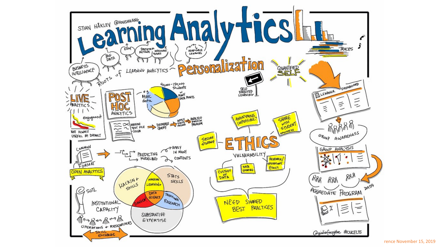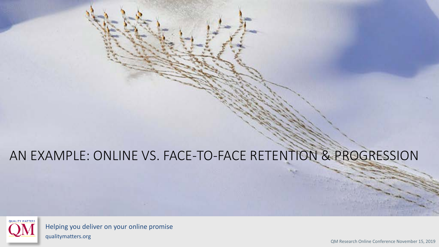# AN EXAMPLE: ONLINE VS. FACE-TO-FACE RETENTION & PROGRESSION



Helping you deliver on your online promise qualitymatters.org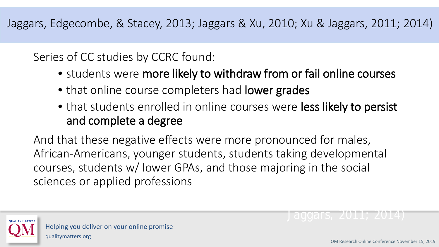Jaggars, Edgecombe, & Stacey, 2013; Jaggars & Xu, 2010; Xu & Jaggars, 2011; 2014)

Series of CC studies by CCRC found:

- students were more likely to withdraw from or fail online courses
- that online course completers had lower grades
- that students enrolled in online courses were less likely to persist and complete a degree

And that these negative effects were more pronounced for males, African-Americans, younger students, students taking developmental courses, students w/ lower GPAs, and those majoring in the social sciences or applied professions

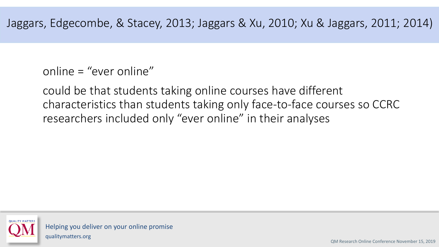online = "ever online"

could be that students taking online courses have different characteristics than students taking only face-to-face courses so CCRC researchers included only "ever online" in their analyses

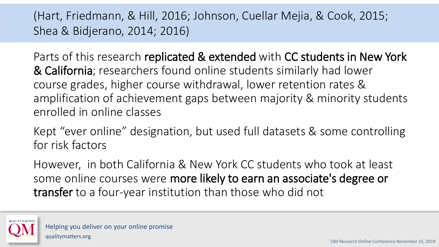### (Hart, Friedmann, & Hill, 2016; Johnson, Cuellar Mejia, & Cook, 2015; Shea & Bidjerano, 2014; 2016)

Parts of this research replicated & extended with CC students in New York & California; researchers found online students similarly had lower course grades, higher course withdrawal, lower retention rates & amplification of achievement gaps between majority & minority students enrolled in online classes

Kept "ever online" designation, but used full datasets & some controlling for risk factors

However, in both California & New York CC students who took at least some online courses were more likely to earn an associate's degree or transfer to a four-year institution than those who did not

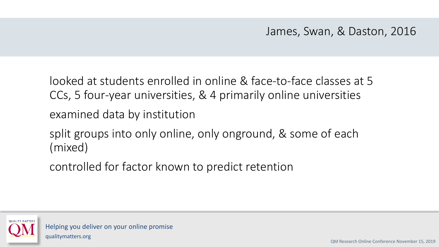James, Swan, & Daston, 2016

looked at students enrolled in online & face-to-face classes at 5 CCs, 5 four-year universities, & 4 primarily online universities

examined data by institution

split groups into only online, only onground, & some of each (mixed),

controlled for factor known to predict retention

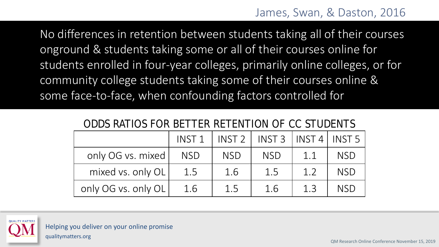No differences in retention between students taking all of their courses onground & students taking some or all of their courses online for students enrolled in four-year colleges, primarily online colleges, or for community college students taking some of their courses online & some face-to-face, when confounding factors controlled for

|                     | INST <sub>1</sub> | INST2      | $INST3$   INST 4   INST 5 |     |            |  |  |  |  |  |  |
|---------------------|-------------------|------------|---------------------------|-----|------------|--|--|--|--|--|--|
| only OG vs. mixed   | <b>NSD</b>        | <b>NSD</b> | <b>NSD</b>                | 1.1 | <b>NSD</b> |  |  |  |  |  |  |
| mixed vs. only OL   | 1.5               | 1.6        | 1.5                       | 1.2 | <b>NSD</b> |  |  |  |  |  |  |
| only OG vs. only OL | 1.6               | 1.5        | 1.6                       | 13  | <b>NSD</b> |  |  |  |  |  |  |

#### ODDS RATIOS FOR BETTER RETENTION OF CC STUDENTS

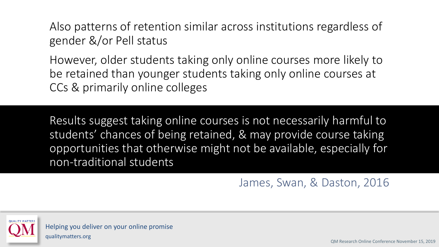Also patterns of retention similar across institutions regardless of gender &/or Pell status

However, older students taking only online courses more likely to be retained than younger students taking only online courses at CCs & primarily online colleges

Results suggest taking online courses is not necessarily harmful to students' chances of being retained, & may provide course taking opportunities that otherwise might not be available, especially for non-traditional students

James, Swan, & Daston, 2016

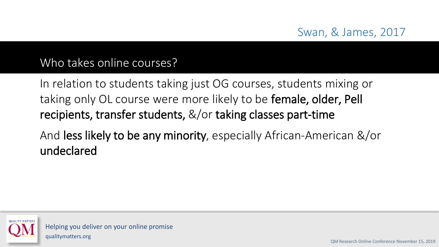#### Swan, & James, 2017

#### Who takes online courses?

In relation to students taking just OG courses, students mixing or taking only OL course were more likely to be female, older, Pell recipients, transfer students, &/or taking classes part-time

And less likely to be any minority, especially African-American &/or undeclared

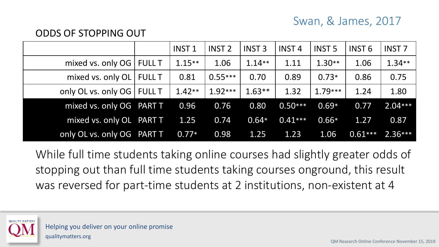#### Swan, & James, 2017

#### ODDS OF STOPPING OUT

|                              |               | INST <sub>1</sub> | <b>INST 2</b> | <b>INST 3</b> | <b>INST4</b> | <b>INST 5</b> | INST 6    | <b>INST 7</b> |
|------------------------------|---------------|-------------------|---------------|---------------|--------------|---------------|-----------|---------------|
| mixed vs. only $OG$ FULL T   |               | $1.15**$          | 1.06          | $1.14**$      | 1.11         | $1.30**$      | 1.06      | $1.34**$      |
| mixed vs. only $OL$          | <b>FULL T</b> | 0.81              | $0.55***$     | 0.70          | 0.89         | $0.73*$       | 0.86      | 0.75          |
| only OL vs. only OG   FULL T |               | $1.42**$          | $1.92***$     | $1.63**$      | 1.32         | $1.79***$     | 1.24      | 1.80          |
| mixed vs. only OG PART T     |               | 0.96              | 0.76          | 0.80          | $0.50***$    | $0.69*$       | 0.77      | $2.04***$     |
| mixed vs. only OL PART T     |               | 1.25              | 0.74          | $0.64*$       | $0.41***$    | $0.66*$       | 1.27      | 0.87          |
| only OL vs. only OG PART T   |               | $0.77*$           | 0.98          | 1.25          | 1.23         | 1.06          | $0.61***$ | $2.36***$     |

While full time students taking online courses had slightly greater odds of stopping out than full time students taking courses onground, this result was reversed for part-time students at 2 institutions, non-existent at 4

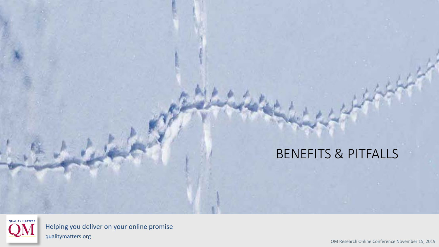

Helping you deliver on your online promise qualitymatters.org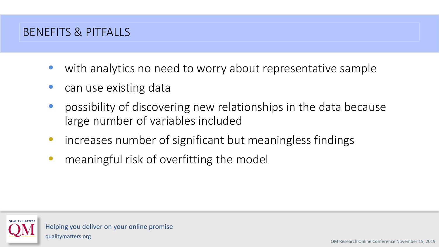- with analytics no need to worry about representative sample
- can use existing data
- possibility of discovering new relationships in the data because large number of variables included
- increases number of significant but meaningless findings
- meaningful risk of overfitting the model

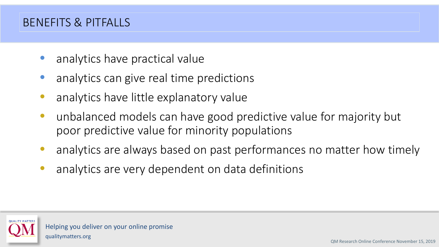- analytics have practical value
- analytics can give real time predictions
- analytics have little explanatory value
- unbalanced models can have good predictive value for majority but poor predictive value for minority populations
- analytics are always based on past performances no matter how timely
- analytics are very dependent on data definitions

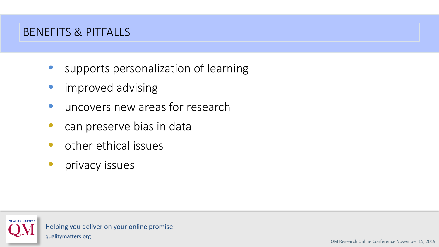- supports personalization of learning
- improved advising
- uncovers new areas for research
- can preserve bias in data
- other ethical issues
- **•** privacy issues

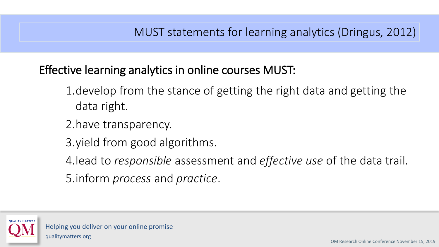#### MUST statements for learning analytics (Dringus, 2012)

Effective learning analytics in online courses MUST:

- 1.develop from the stance of getting the right data and getting the data right.
- 2.have transparency.
- 3.yield from good algorithms.
- 4.lead to *responsible* assessment and *effective use* of the data trail.
- 5.inform *process* and *practice*.

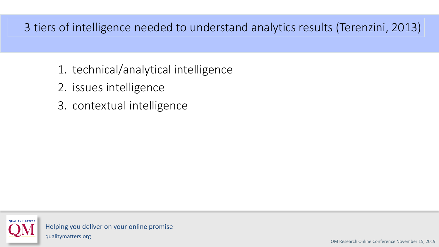#### 3 tiers of intelligence needed to understand analytics results (Terenzini, 2013)

- 1. technical/analytical intelligence
- 2. issues intelligence
- 3. contextual intelligence

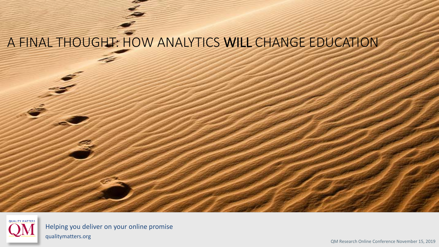# A FINAL THOUGHT: HOW ANALYTICS WILL CHANGE EDUCATION



Helping you deliver on your online promise qualitymatters.org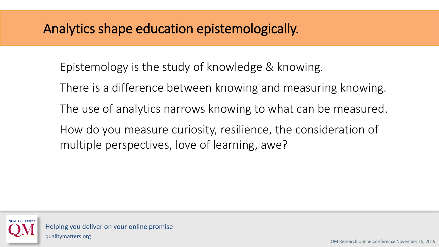# Analytics shape education epistemologically.

- Epistemology is the study of knowledge & knowing.
- There is a difference between knowing and measuring knowing.
- The use of analytics narrows knowing to what can be measured.
- How do you measure curiosity, resilience, the consideration of multiple perspectives, love of learning, awe?

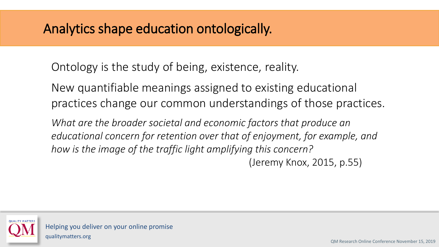# Analytics shape education ontologically.

Ontology is the study of being, existence, reality.

New quantifiable meanings assigned to existing educational practices change our common understandings of those practices.

*What are the broader societal and economic factors that produce an educational concern for retention over that of enjoyment, for example, and how is the image of the traffic light amplifying this concern?* 

(Jeremy Knox, 2015, p.55)

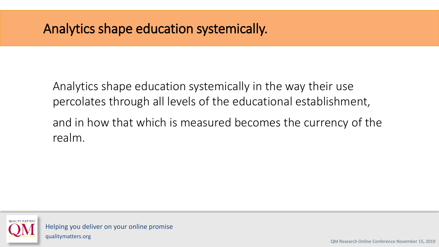# Analytics shape education systemically.

Analytics shape education systemically in the way their use percolates through all levels of the educational establishment, and in how that which is measured becomes the currency of the realm.

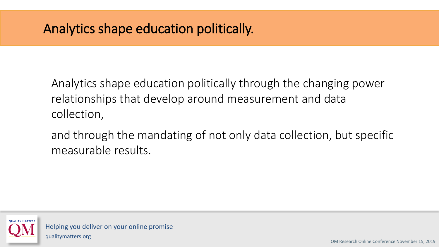# Analytics shape education politically.

Analytics shape education politically through the changing power relationships that develop around measurement and data collection,

and through the mandating of not only data collection, but specific measurable results.

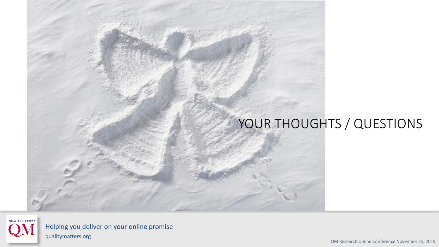# YOUR THOUGHTS / QUESTIONS



Helping you deliver on your online promise qualitymatters.org

QM Research Online Conference November 15, 2019